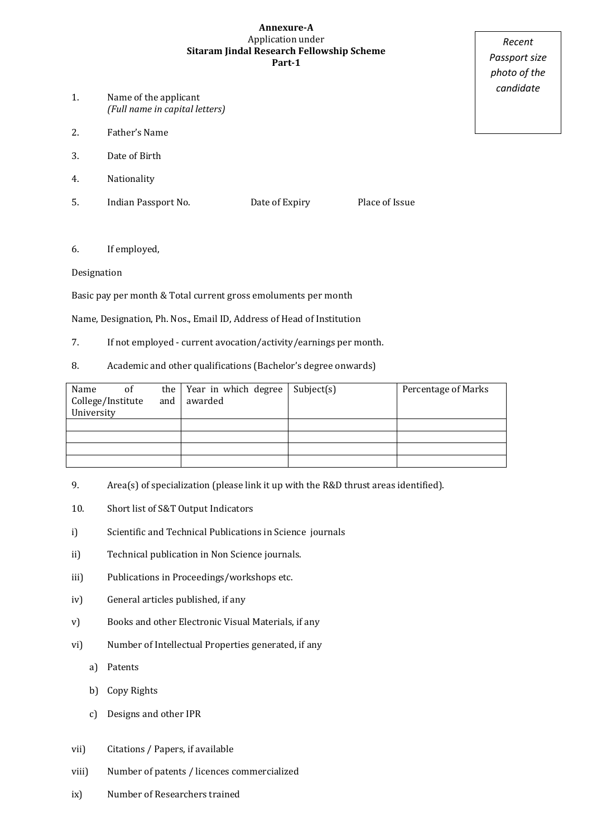#### **Annexure-A** Application under **Sitaram Jindal Research Fellowship Scheme Part-1**

- 1. Name of the applicant *(Full name in capital letters)*
- 2. Father's Name
- 3. Date of Birth
- 4. Nationality
- 5. Indian Passport No. Date of Expiry Place of Issue

### 6. If employed,

### Designation

Basic pay per month & Total current gross emoluments per month

Name, Designation, Ph. Nos., Email ID, Address of Head of Institution

- 7. If not employed current avocation/activity/earnings per month.
- 8. Academic and other qualifications (Bachelor's degree onwards)

| Name<br>College/Institute<br>University | <sub>of</sub> | and | the Year in which degree<br>awarded | Subject(s) | Percentage of Marks |
|-----------------------------------------|---------------|-----|-------------------------------------|------------|---------------------|
|                                         |               |     |                                     |            |                     |
|                                         |               |     |                                     |            |                     |
|                                         |               |     |                                     |            |                     |
|                                         |               |     |                                     |            |                     |

- 9. Area(s) of specialization (please link it up with the R&D thrust areas identified).
- 10. Short list of S&T Output Indicators
- i) Scientific and Technical Publications in Science journals
- ii) Technical publication in Non Science journals.
- iii) Publications in Proceedings/workshops etc.
- iv) General articles published, if any
- v) Books and other Electronic Visual Materials, if any
- vi) Number of Intellectual Properties generated, if any
	- a) Patents
	- b) Copy Rights
	- c) Designs and other IPR
- vii) Citations / Papers, if available
- viii) Number of patents / licences commercialized
- ix) Number of Researchers trained

*Recent Passport size photo of the candidate*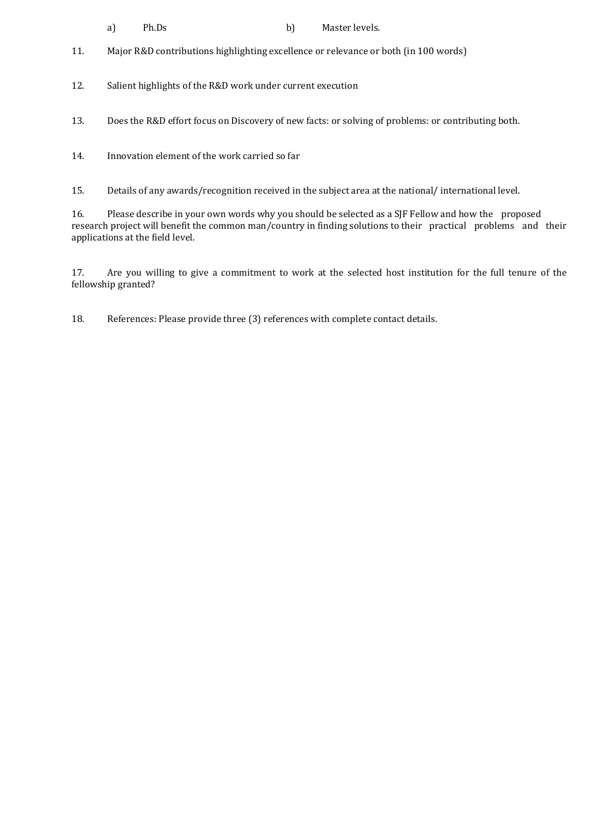- a) Ph.Ds b) Master levels.
- 11. Major R&D contributions highlighting excellence or relevance or both (in 100 words)
- 12. Salient highlights of the R&D work under current execution
- 13. Does the R&D effort focus on Discovery of new facts: or solving of problems: or contributing both.
- 14. Innovation element of the work carried so far

15. Details of any awards/recognition received in the subject area at the national/ international level.

16. Please describe in your own words why you should be selected as a SJF Fellow and how the proposed research project will benefit the common man/country in finding solutions to their practical problems and their applications at the field level.

17. Are you willing to give a commitment to work at the selected host institution for the full tenure of the fellowship granted?

18. References: Please provide three (3) references with complete contact details.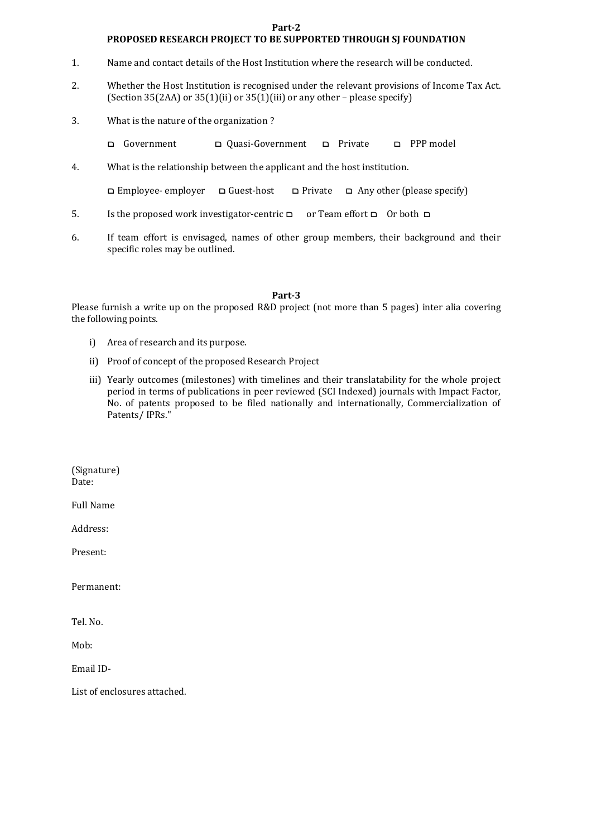#### **Part-2**

#### **PROPOSED RESEARCH PROJECT TO BE SUPPORTED THROUGH SJ FOUNDATION**

- 1. Name and contact details of the Host Institution where the research will be conducted.
- 2. Whether the Host Institution is recognised under the relevant provisions of Income Tax Act. (Section 35(2AA) or 35(1)(ii) or 35(1)(iii) or any other – please specify)
- 3. What is the nature of the organization ?
	- ם Government ם Quasi-Government ם Private ם PPP model
- 4. What is the relationship between the applicant and the host institution.

ם Employee- employer ם Guest-host ם Private ם Any other (please specify)

- 5. Is the proposed work investigator-centric ם or Team effort ם Or both ם
- 6. If team effort is envisaged, names of other group members, their background and their specific roles may be outlined.

#### **Part-3**

Please furnish a write up on the proposed R&D project (not more than 5 pages) inter alia covering the following points.

- i) Area of research and its purpose.
- ii) Proof of concept of the proposed Research Project
- iii) Yearly outcomes (milestones) with timelines and their translatability for the whole project period in terms of publications in peer reviewed (SCI Indexed) journals with Impact Factor, No. of patents proposed to be filed nationally and internationally, Commercialization of Patents/ IPRs."

(Signature) Date:

Full Name

Address:

Present:

Permanent:

Tel. No.

Mob:

Email ID-

List of enclosures attached.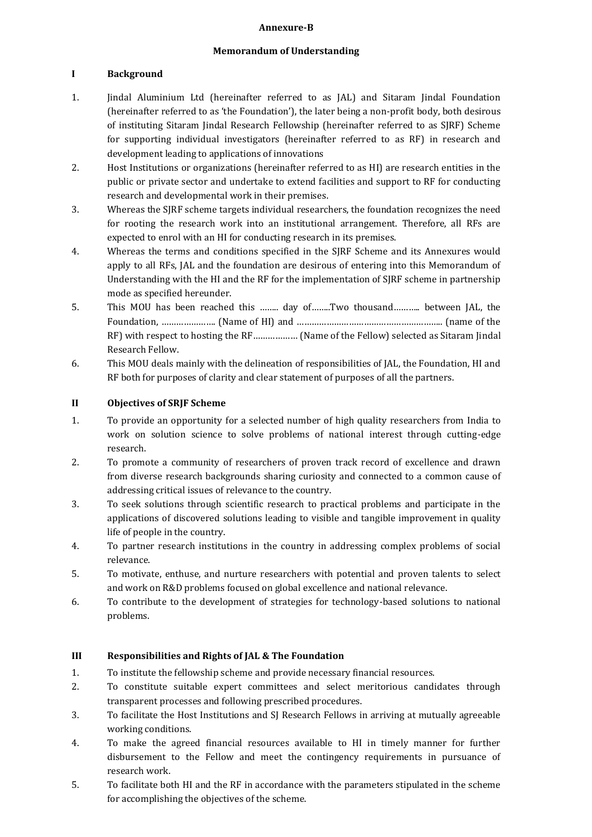#### **Annexure-B**

#### **Memorandum of Understanding**

## **I Background**

- 1. Jindal Aluminium Ltd (hereinafter referred to as JAL) and Sitaram Jindal Foundation (hereinafter referred to as 'the Foundation'), the later being a non-profit body, both desirous of instituting Sitaram Jindal Research Fellowship (hereinafter referred to as SJRF) Scheme for supporting individual investigators (hereinafter referred to as RF) in research and development leading to applications of innovations
- 2. Host Institutions or organizations (hereinafter referred to as HI) are research entities in the public or private sector and undertake to extend facilities and support to RF for conducting research and developmental work in their premises.
- 3. Whereas the SJRF scheme targets individual researchers, the foundation recognizes the need for rooting the research work into an institutional arrangement. Therefore, all RFs are expected to enrol with an HI for conducting research in its premises.
- 4. Whereas the terms and conditions specified in the SJRF Scheme and its Annexures would apply to all RFs, JAL and the foundation are desirous of entering into this Memorandum of Understanding with the HI and the RF for the implementation of SJRF scheme in partnership mode as specified hereunder.
- 5. This MOU has been reached this …….. day of……..Two thousand……….. between JAL, the Foundation, …………………. (Name of HI) and ………………………………………………….. (name of the RF) with respect to hosting the RF……………… (Name of the Fellow) selected as Sitaram Jindal Research Fellow.
- 6. This MOU deals mainly with the delineation of responsibilities of JAL, the Foundation, HI and RF both for purposes of clarity and clear statement of purposes of all the partners.

### **II Objectives of SRJF Scheme**

- 1. To provide an opportunity for a selected number of high quality researchers from India to work on solution science to solve problems of national interest through cutting-edge research.
- 2. To promote a community of researchers of proven track record of excellence and drawn from diverse research backgrounds sharing curiosity and connected to a common cause of addressing critical issues of relevance to the country.
- 3. To seek solutions through scientific research to practical problems and participate in the applications of discovered solutions leading to visible and tangible improvement in quality life of people in the country.
- 4. To partner research institutions in the country in addressing complex problems of social relevance.
- 5. To motivate, enthuse, and nurture researchers with potential and proven talents to select and work on R&D problems focused on global excellence and national relevance.
- 6. To contribute to the development of strategies for technology-based solutions to national problems.

### **III Responsibilities and Rights of JAL & The Foundation**

- 1. To institute the fellowship scheme and provide necessary financial resources.
- 2. To constitute suitable expert committees and select meritorious candidates through transparent processes and following prescribed procedures.
- 3. To facilitate the Host Institutions and SJ Research Fellows in arriving at mutually agreeable working conditions.
- 4. To make the agreed financial resources available to HI in timely manner for further disbursement to the Fellow and meet the contingency requirements in pursuance of research work.
- 5. To facilitate both HI and the RF in accordance with the parameters stipulated in the scheme for accomplishing the objectives of the scheme.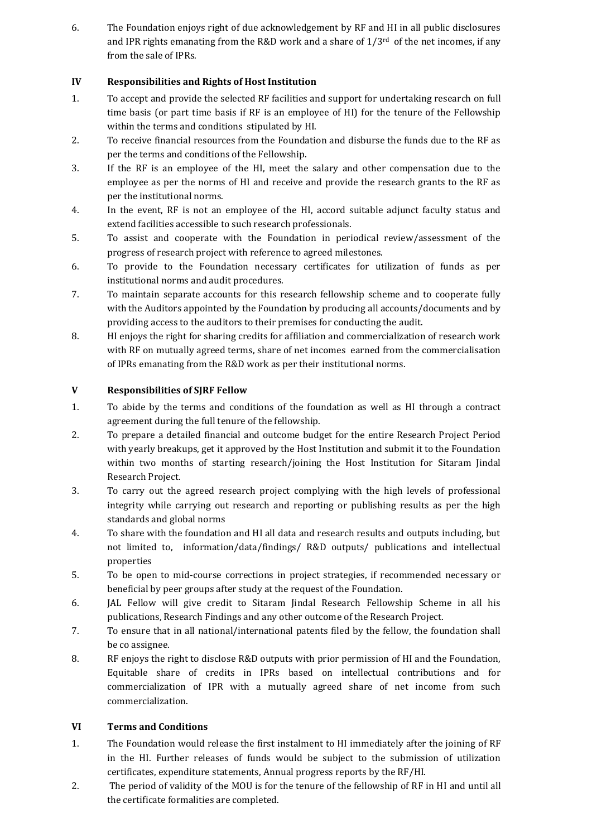6. The Foundation enjoys right of due acknowledgement by RF and HI in all public disclosures and IPR rights emanating from the R&D work and a share of  $1/3^{rd}$  of the net incomes, if any from the sale of IPRs.

# **IV Responsibilities and Rights of Host Institution**

- 1. To accept and provide the selected RF facilities and support for undertaking research on full time basis (or part time basis if RF is an employee of HI) for the tenure of the Fellowship within the terms and conditions stipulated by HI.
- 2. To receive financial resources from the Foundation and disburse the funds due to the RF as per the terms and conditions of the Fellowship.
- 3. If the RF is an employee of the HI, meet the salary and other compensation due to the employee as per the norms of HI and receive and provide the research grants to the RF as per the institutional norms.
- 4. In the event, RF is not an employee of the HI, accord suitable adjunct faculty status and extend facilities accessible to such research professionals.
- 5. To assist and cooperate with the Foundation in periodical review/assessment of the progress of research project with reference to agreed milestones.
- 6. To provide to the Foundation necessary certificates for utilization of funds as per institutional norms and audit procedures.
- 7. To maintain separate accounts for this research fellowship scheme and to cooperate fully with the Auditors appointed by the Foundation by producing all accounts/documents and by providing access to the auditors to their premises for conducting the audit.
- 8. HI enjoys the right for sharing credits for affiliation and commercialization of research work with RF on mutually agreed terms, share of net incomes earned from the commercialisation of IPRs emanating from the R&D work as per their institutional norms.

### **V Responsibilities of SJRF Fellow**

- 1. To abide by the terms and conditions of the foundation as well as HI through a contract agreement during the full tenure of the fellowship.
- 2. To prepare a detailed financial and outcome budget for the entire Research Project Period with yearly breakups, get it approved by the Host Institution and submit it to the Foundation within two months of starting research/joining the Host Institution for Sitaram Jindal Research Project.
- 3. To carry out the agreed research project complying with the high levels of professional integrity while carrying out research and reporting or publishing results as per the high standards and global norms
- 4. To share with the foundation and HI all data and research results and outputs including, but not limited to, information/data/findings/ R&D outputs/ publications and intellectual properties
- 5. To be open to mid-course corrections in project strategies, if recommended necessary or beneficial by peer groups after study at the request of the Foundation.
- 6. JAL Fellow will give credit to Sitaram Jindal Research Fellowship Scheme in all his publications, Research Findings and any other outcome of the Research Project.
- 7. To ensure that in all national/international patents filed by the fellow, the foundation shall be co assignee.
- 8. RF enjoys the right to disclose R&D outputs with prior permission of HI and the Foundation, Equitable share of credits in IPRs based on intellectual contributions and for commercialization of IPR with a mutually agreed share of net income from such commercialization.

### **VI Terms and Conditions**

- 1. The Foundation would release the first instalment to HI immediately after the joining of RF in the HI. Further releases of funds would be subject to the submission of utilization certificates, expenditure statements, Annual progress reports by the RF/HI.
- 2. The period of validity of the MOU is for the tenure of the fellowship of RF in HI and until all the certificate formalities are completed.